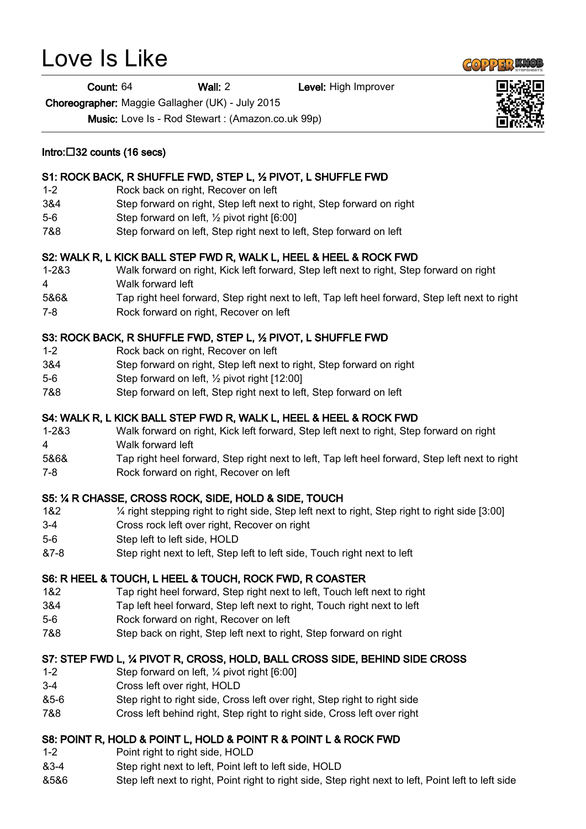# Love Is Like

Count: 64 Wall: 2 Level: High Improver

Choreographer: Maggie Gallagher (UK) - July 2015

Music: Love Is - Rod Stewart : (Amazon.co.uk 99p)

#### S1: ROCK BACK, R SHUFFLE FWD, STEP L, ½ PIVOT, L SHUFFLE FWD

- 1-2 Rock back on right, Recover on left
- 3&4 Step forward on right, Step left next to right, Step forward on right
- 5-6 Step forward on left, ½ pivot right [6:00]
- 7&8 Step forward on left, Step right next to left, Step forward on left

## S2: WALK R, L KICK BALL STEP FWD R, WALK L, HEEL & HEEL & ROCK FWD

- 1-2&3 Walk forward on right, Kick left forward, Step left next to right, Step forward on right
- 4 Walk forward left
- 5&6& Tap right heel forward, Step right next to left, Tap left heel forward, Step left next to right
- 7-8 Rock forward on right, Recover on left

## S3: ROCK BACK, R SHUFFLE FWD, STEP L, ½ PIVOT, L SHUFFLE FWD

- 1-2 Rock back on right, Recover on left
- 3&4 Step forward on right, Step left next to right, Step forward on right
- 5-6 Step forward on left, ½ pivot right [12:00]
- 7&8 Step forward on left, Step right next to left, Step forward on left

## S4: WALK R, L KICK BALL STEP FWD R, WALK L, HEEL & HEEL & ROCK FWD

- 1-2&3 Walk forward on right, Kick left forward, Step left next to right, Step forward on right
- 4 Walk forward left
- 5&6& Tap right heel forward, Step right next to left, Tap left heel forward, Step left next to right
- 7-8 Rock forward on right, Recover on left

## S5: ¼ R CHASSE, CROSS ROCK, SIDE, HOLD & SIDE, TOUCH

- 1&2 ¼ right stepping right to right side, Step left next to right, Step right to right side [3:00]
- 3-4 Cross rock left over right, Recover on right
- 5-6 Step left to left side, HOLD
- &7-8 Step right next to left, Step left to left side, Touch right next to left

## S6: R HEEL & TOUCH, L HEEL & TOUCH, ROCK FWD, R COASTER

- 1&2 Tap right heel forward, Step right next to left, Touch left next to right
- 3&4 Tap left heel forward, Step left next to right, Touch right next to left
- 5-6 Rock forward on right, Recover on left
- 7&8 Step back on right, Step left next to right, Step forward on right

## S7: STEP FWD L, ¼ PIVOT R, CROSS, HOLD, BALL CROSS SIDE, BEHIND SIDE CROSS

- 1-2 Step forward on left, ¼ pivot right [6:00]
- 3-4 Cross left over right, HOLD
- &5-6 Step right to right side, Cross left over right, Step right to right side
- 7&8 Cross left behind right, Step right to right side, Cross left over right

# S8: POINT R, HOLD & POINT L, HOLD & POINT R & POINT L & ROCK FWD

- 1-2 Point right to right side, HOLD
- &3-4 Step right next to left, Point left to left side, HOLD
- &5&6 Step left next to right, Point right to right side, Step right next to left, Point left to left side